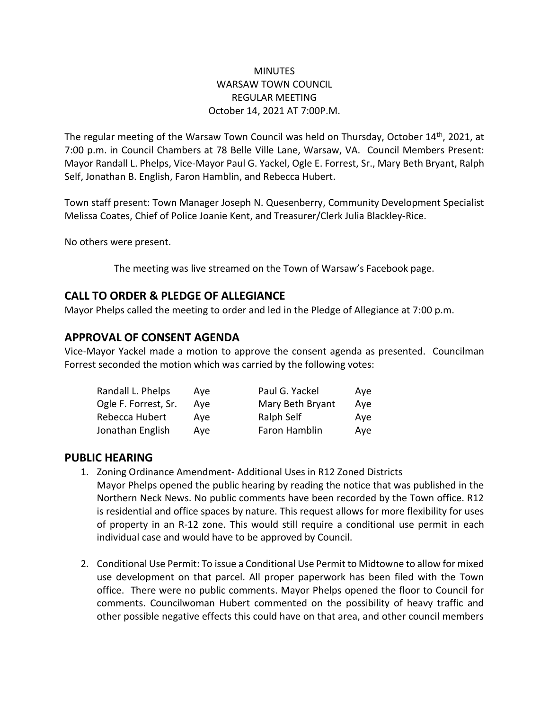### **MINUTES** WARSAW TOWN COUNCIL REGULAR MEETING October 14, 2021 AT 7:00P.M.

The regular meeting of the Warsaw Town Council was held on Thursday, October 14<sup>th</sup>, 2021, at 7:00 p.m. in Council Chambers at 78 Belle Ville Lane, Warsaw, VA. Council Members Present: Mayor Randall L. Phelps, Vice-Mayor Paul G. Yackel, Ogle E. Forrest, Sr., Mary Beth Bryant, Ralph Self, Jonathan B. English, Faron Hamblin, and Rebecca Hubert.

Town staff present: Town Manager Joseph N. Quesenberry, Community Development Specialist Melissa Coates, Chief of Police Joanie Kent, and Treasurer/Clerk Julia Blackley-Rice.

No others were present.

The meeting was live streamed on the Town of Warsaw's Facebook page.

# **CALL TO ORDER & PLEDGE OF ALLEGIANCE**

Mayor Phelps called the meeting to order and led in the Pledge of Allegiance at 7:00 p.m.

# **APPROVAL OF CONSENT AGENDA**

Vice-Mayor Yackel made a motion to approve the consent agenda as presented. Councilman Forrest seconded the motion which was carried by the following votes:

| Randall L. Phelps    | Ave | Paul G. Yackel   | Ave |
|----------------------|-----|------------------|-----|
| Ogle F. Forrest, Sr. | Ave | Mary Beth Bryant | Ave |
| Rebecca Hubert       | Ave | Ralph Self       | Aye |
| Jonathan English     | Ave | Faron Hamblin    | Ave |

### **PUBLIC HEARING**

- 1. Zoning Ordinance Amendment- Additional Uses in R12 Zoned Districts Mayor Phelps opened the public hearing by reading the notice that was published in the Northern Neck News. No public comments have been recorded by the Town office. R12 is residential and office spaces by nature. This request allows for more flexibility for uses of property in an R-12 zone. This would still require a conditional use permit in each individual case and would have to be approved by Council.
- 2. Conditional Use Permit: To issue a Conditional Use Permit to Midtowne to allow for mixed use development on that parcel. All proper paperwork has been filed with the Town office. There were no public comments. Mayor Phelps opened the floor to Council for comments. Councilwoman Hubert commented on the possibility of heavy traffic and other possible negative effects this could have on that area, and other council members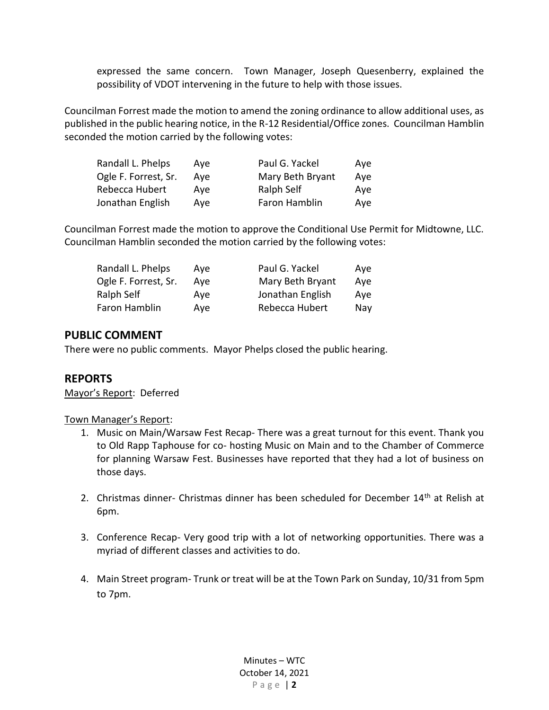expressed the same concern. Town Manager, Joseph Quesenberry, explained the possibility of VDOT intervening in the future to help with those issues.

Councilman Forrest made the motion to amend the zoning ordinance to allow additional uses, as published in the public hearing notice, in the R-12 Residential/Office zones. Councilman Hamblin seconded the motion carried by the following votes:

| Randall L. Phelps    | Ave | Paul G. Yackel   | Ave |
|----------------------|-----|------------------|-----|
| Ogle F. Forrest, Sr. | Ave | Mary Beth Bryant | Ave |
| Rebecca Hubert       | Ave | Ralph Self       | Ave |
| Jonathan English     | Ave | Faron Hamblin    | Ave |

Councilman Forrest made the motion to approve the Conditional Use Permit for Midtowne, LLC. Councilman Hamblin seconded the motion carried by the following votes:

| Randall L. Phelps    | Ave | Paul G. Yackel   | Ave |
|----------------------|-----|------------------|-----|
| Ogle F. Forrest, Sr. | Ave | Mary Beth Bryant | Aye |
| Ralph Self           | Ave | Jonathan English | Ave |
| Faron Hamblin        | Ave | Rebecca Hubert   | Nay |

# **PUBLIC COMMENT**

There were no public comments. Mayor Phelps closed the public hearing.

# **REPORTS**

Mayor's Report: Deferred

#### Town Manager's Report:

- 1. Music on Main/Warsaw Fest Recap- There was a great turnout for this event. Thank you to Old Rapp Taphouse for co- hosting Music on Main and to the Chamber of Commerce for planning Warsaw Fest. Businesses have reported that they had a lot of business on those days.
- 2. Christmas dinner- Christmas dinner has been scheduled for December 14<sup>th</sup> at Relish at 6pm.
- 3. Conference Recap- Very good trip with a lot of networking opportunities. There was a myriad of different classes and activities to do.
- 4. Main Street program- Trunk or treat will be at the Town Park on Sunday, 10/31 from 5pm to 7pm.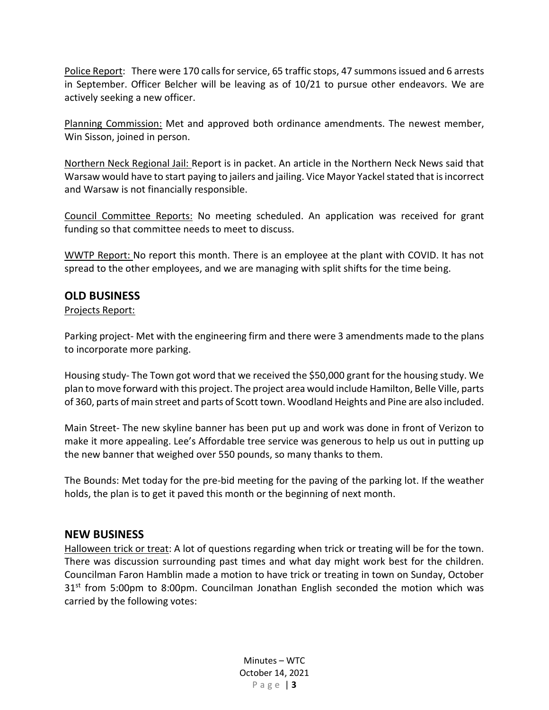Police Report: There were 170 calls for service, 65 traffic stops, 47 summons issued and 6 arrests in September. Officer Belcher will be leaving as of 10/21 to pursue other endeavors. We are actively seeking a new officer.

Planning Commission: Met and approved both ordinance amendments. The newest member, Win Sisson, joined in person.

Northern Neck Regional Jail: Report is in packet. An article in the Northern Neck News said that Warsaw would have to start paying to jailers and jailing. Vice Mayor Yackel stated that is incorrect and Warsaw is not financially responsible.

Council Committee Reports: No meeting scheduled. An application was received for grant funding so that committee needs to meet to discuss.

WWTP Report: No report this month. There is an employee at the plant with COVID. It has not spread to the other employees, and we are managing with split shifts for the time being.

### **OLD BUSINESS**

Projects Report:

Parking project- Met with the engineering firm and there were 3 amendments made to the plans to incorporate more parking.

Housing study- The Town got word that we received the \$50,000 grant for the housing study. We plan to move forward with this project. The project area would include Hamilton, Belle Ville, parts of 360, parts of main street and parts of Scott town. Woodland Heights and Pine are also included.

Main Street- The new skyline banner has been put up and work was done in front of Verizon to make it more appealing. Lee's Affordable tree service was generous to help us out in putting up the new banner that weighed over 550 pounds, so many thanks to them.

The Bounds: Met today for the pre-bid meeting for the paving of the parking lot. If the weather holds, the plan is to get it paved this month or the beginning of next month.

### **NEW BUSINESS**

Halloween trick or treat: A lot of questions regarding when trick or treating will be for the town. There was discussion surrounding past times and what day might work best for the children. Councilman Faron Hamblin made a motion to have trick or treating in town on Sunday, October  $31<sup>st</sup>$  from 5:00pm to 8:00pm. Councilman Jonathan English seconded the motion which was carried by the following votes:

> Minutes – WTC October 14, 2021 P a g e | **3**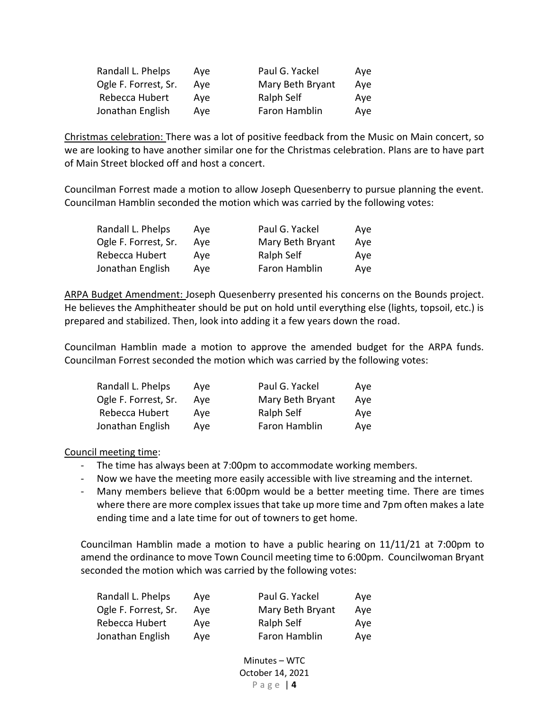| Randall L. Phelps    | Ave | Paul G. Yackel   | Ave |
|----------------------|-----|------------------|-----|
| Ogle F. Forrest, Sr. | Ave | Mary Beth Bryant | Aye |
| Rebecca Hubert       | Ave | Ralph Self       | Aye |
| Jonathan English     | Ave | Faron Hamblin    | Aye |

Christmas celebration: There was a lot of positive feedback from the Music on Main concert, so we are looking to have another similar one for the Christmas celebration. Plans are to have part of Main Street blocked off and host a concert.

Councilman Forrest made a motion to allow Joseph Quesenberry to pursue planning the event. Councilman Hamblin seconded the motion which was carried by the following votes:

| Randall L. Phelps    | Ave | Paul G. Yackel   | Ave |
|----------------------|-----|------------------|-----|
| Ogle F. Forrest, Sr. | Ave | Mary Beth Bryant | Aye |
| Rebecca Hubert       | Ave | Ralph Self       | Ave |
| Jonathan English     | Ave | Faron Hamblin    | Aye |

ARPA Budget Amendment: Joseph Quesenberry presented his concerns on the Bounds project. He believes the Amphitheater should be put on hold until everything else (lights, topsoil, etc.) is prepared and stabilized. Then, look into adding it a few years down the road.

Councilman Hamblin made a motion to approve the amended budget for the ARPA funds. Councilman Forrest seconded the motion which was carried by the following votes:

| Ave | Paul G. Yackel   | Ave |
|-----|------------------|-----|
| Ave | Mary Beth Bryant | Aye |
| Ave | Ralph Self       | Aye |
| Ave | Faron Hamblin    | Aye |
|     |                  |     |

Council meeting time:

- The time has always been at 7:00pm to accommodate working members.
- Now we have the meeting more easily accessible with live streaming and the internet.
- Many members believe that 6:00pm would be a better meeting time. There are times where there are more complex issues that take up more time and 7pm often makes a late ending time and a late time for out of towners to get home.

Councilman Hamblin made a motion to have a public hearing on 11/11/21 at 7:00pm to amend the ordinance to move Town Council meeting time to 6:00pm. Councilwoman Bryant seconded the motion which was carried by the following votes:

| Randall L. Phelps    | Ave | Paul G. Yackel   | Ave |
|----------------------|-----|------------------|-----|
| Ogle F. Forrest, Sr. | Ave | Mary Beth Bryant | Ave |
| Rebecca Hubert       | Ave | Ralph Self       | Ave |
| Jonathan English     | Ave | Faron Hamblin    | Ave |

Minutes – WTC October 14, 2021 P a g e | **4**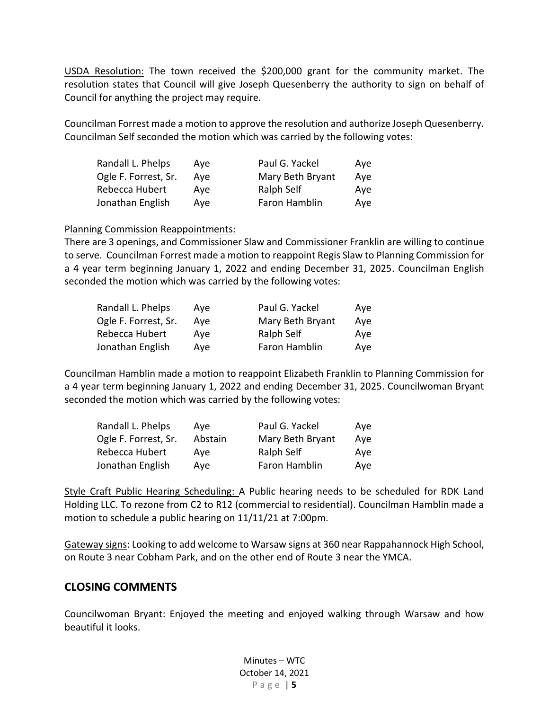USDA Resolution: The town received the \$200,000 grant for the community market. The resolution states that Council will give Joseph Quesenberry the authority to sign on behalf of Council for anything the project may require.

Councilman Forrest made a motion to approve the resolution and authorize Joseph Quesenberry. Councilman Self seconded the motion which was carried by the following votes:

| Randall L. Phelps    | Ave | Paul G. Yackel   | Ave |
|----------------------|-----|------------------|-----|
| Ogle F. Forrest, Sr. | Ave | Mary Beth Bryant | Ave |
| Rebecca Hubert       | Ave | Ralph Self       | Ave |
| Jonathan English     | Ave | Faron Hamblin    | Ave |

#### Planning Commission Reappointments:

There are 3 openings, and Commissioner Slaw and Commissioner Franklin are willing to continue to serve. Councilman Forrest made a motion to reappoint Regis Slaw to Planning Commission for a 4 year term beginning January 1, 2022 and ending December 31, 2025. Councilman English seconded the motion which was carried by the following votes:

| Randall L. Phelps    | Ave | Paul G. Yackel   | Ave |
|----------------------|-----|------------------|-----|
| Ogle F. Forrest, Sr. | Ave | Mary Beth Bryant | Aye |
| Rebecca Hubert       | Ave | Ralph Self       | Aye |
| Jonathan English     | Ave | Faron Hamblin    | Aye |

Councilman Hamblin made a motion to reappoint Elizabeth Franklin to Planning Commission for a 4 year term beginning January 1, 2022 and ending December 31, 2025. Councilwoman Bryant seconded the motion which was carried by the following votes:

| Randall L. Phelps    | Ave     | Paul G. Yackel   | Aye |
|----------------------|---------|------------------|-----|
| Ogle F. Forrest, Sr. | Abstain | Mary Beth Bryant | Aye |
| Rebecca Hubert       | Ave     | Ralph Self       | Ave |
| Jonathan English     | Ave     | Faron Hamblin    | Aye |

Style Craft Public Hearing Scheduling: A Public hearing needs to be scheduled for RDK Land Holding LLC. To rezone from C2 to R12 (commercial to residential). Councilman Hamblin made a motion to schedule a public hearing on 11/11/21 at 7:00pm.

Gateway signs: Looking to add welcome to Warsaw signs at 360 near Rappahannock High School, on Route 3 near Cobham Park, and on the other end of Route 3 near the YMCA.

# **CLOSING COMMENTS**

Councilwoman Bryant: Enjoyed the meeting and enjoyed walking through Warsaw and how beautiful it looks.